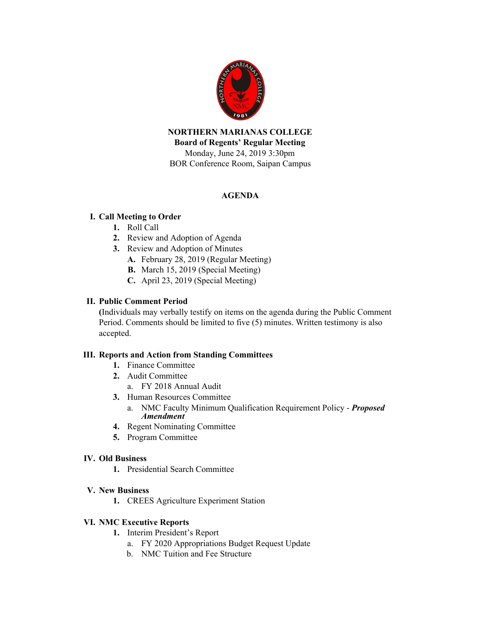

**NORTHERN MARIANAS COLLEGE Board of Regents' Regular Meeting** Monday, June 24, 2019 3:30pm BOR Conference Room, Saipan Campus

## **AGENDA**

### **I. Call Meeting to Order**

- **1.** Roll Call
- **2.** Review and Adoption of Agenda
- **3.** Review and Adoption of Minutes
	- **A.** February 28, 2019 (Regular Meeting)
	- **B.** March 15, 2019 (Special Meeting)
	- **C.** April 23, 2019 (Special Meeting)

#### **II. Public Comment Period**

**(**Individuals may verbally testify on items on the agenda during the Public Comment Period. Comments should be limited to five (5) minutes. Written testimony is also accepted.

#### **III. Reports and Action from Standing Committees**

- **1.** Finance Committee
- **2.** Audit Committee
	- a. FY 2018 Annual Audit
- **3.** Human Resources Committee
	- a. NMC Faculty Minimum Qualification Requirement Policy *Proposed Amendment*
- **4.** Regent Nominating Committee
- **5.** Program Committee

#### **IV. Old Business**

**1.** Presidential Search Committee

#### **V. New Business**

**1.** CREES Agriculture Experiment Station

#### **VI. NMC Executive Reports**

- **1.** Interim President's Report
	- a. FY 2020 Appropriations Budget Request Update
	- b. NMC Tuition and Fee Structure